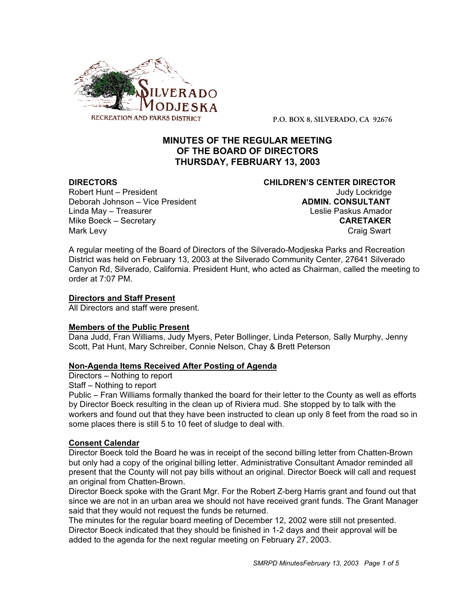

**P.O. BOX 8, SILVERADO, CA 92676**

## **MINUTES OF THE REGULAR MEETING OF THE BOARD OF DIRECTORS THURSDAY, FEBRUARY 13, 2003**

# **DIRECTORS CHILDREN'S CENTER DIRECTOR** Robert Hunt – President View March 1999 and Judy Lockridge View Judy Lockridge Deborah Johnson – Vice President **ADMIN. CONSULTANT** Linda May – Treasurer Leslie Paskus Amador

Mike Boeck – Secretary **CARETAKER** Mark Levy **Craig Swart** 

A regular meeting of the Board of Directors of the Silverado-Modjeska Parks and Recreation District was held on February 13, 2003 at the Silverado Community Center, 27641 Silverado Canyon Rd, Silverado, California. President Hunt, who acted as Chairman, called the meeting to order at 7:07 PM.

### **Directors and Staff Present**

All Directors and staff were present.

### **Members of the Public Present**

Dana Judd, Fran Williams, Judy Myers, Peter Bollinger, Linda Peterson, Sally Murphy, Jenny Scott, Pat Hunt, Mary Schreiber, Connie Nelson, Chay & Brett Peterson

### **Non-Agenda Items Received After Posting of Agenda**

Directors – Nothing to report

Staff – Nothing to report

Public – Fran Williams formally thanked the board for their letter to the County as well as efforts by Director Boeck resulting in the clean up of Riviera mud. She stopped by to talk with the workers and found out that they have been instructed to clean up only 8 feet from the road so in some places there is still 5 to 10 feet of sludge to deal with.

### **Consent Calendar**

Director Boeck told the Board he was in receipt of the second billing letter from Chatten-Brown but only had a copy of the original billing letter. Administrative Consultant Amador reminded all present that the County will not pay bills without an original. Director Boeck will call and request an original from Chatten-Brown.

Director Boeck spoke with the Grant Mgr. For the Robert Z-berg Harris grant and found out that since we are not in an urban area we should not have received grant funds. The Grant Manager said that they would not request the funds be returned.

The minutes for the regular board meeting of December 12, 2002 were still not presented. Director Boeck indicated that they should be finished in 1-2 days and their approval will be added to the agenda for the next regular meeting on February 27, 2003.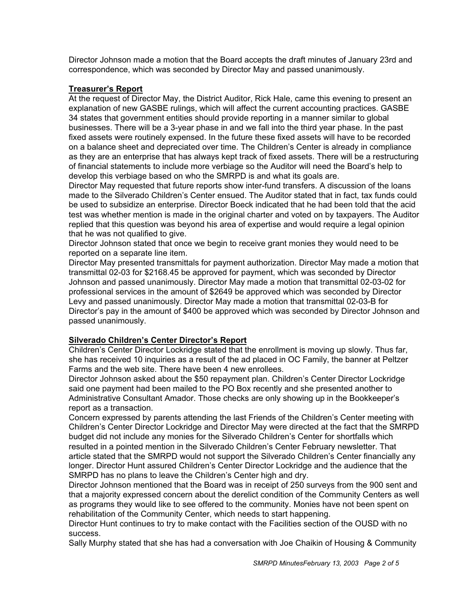Director Johnson made a motion that the Board accepts the draft minutes of January 23rd and correspondence, which was seconded by Director May and passed unanimously.

#### **Treasurer's Report**

At the request of Director May, the District Auditor, Rick Hale, came this evening to present an explanation of new GASBE rulings, which will affect the current accounting practices. GASBE 34 states that government entities should provide reporting in a manner similar to global businesses. There will be a 3-year phase in and we fall into the third year phase. In the past fixed assets were routinely expensed. In the future these fixed assets will have to be recorded on a balance sheet and depreciated over time. The Children's Center is already in compliance as they are an enterprise that has always kept track of fixed assets. There will be a restructuring of financial statements to include more verbiage so the Auditor will need the Board's help to develop this verbiage based on who the SMRPD is and what its goals are.

Director May requested that future reports show inter-fund transfers. A discussion of the loans made to the Silverado Children's Center ensued. The Auditor stated that in fact, tax funds could be used to subsidize an enterprise. Director Boeck indicated that he had been told that the acid test was whether mention is made in the original charter and voted on by taxpayers. The Auditor replied that this question was beyond his area of expertise and would require a legal opinion that he was not qualified to give.

Director Johnson stated that once we begin to receive grant monies they would need to be reported on a separate line item.

Director May presented transmittals for payment authorization. Director May made a motion that transmittal 02-03 for \$2168.45 be approved for payment, which was seconded by Director Johnson and passed unanimously. Director May made a motion that transmittal 02-03-02 for professional services in the amount of \$2649 be approved which was seconded by Director Levy and passed unanimously. Director May made a motion that transmittal 02-03-B for Director's pay in the amount of \$400 be approved which was seconded by Director Johnson and passed unanimously.

### **Silverado Children's Center Director's Report**

Children's Center Director Lockridge stated that the enrollment is moving up slowly. Thus far, she has received 10 inquiries as a result of the ad placed in OC Family, the banner at Peltzer Farms and the web site. There have been 4 new enrollees.

Director Johnson asked about the \$50 repayment plan. Children's Center Director Lockridge said one payment had been mailed to the PO Box recently and she presented another to Administrative Consultant Amador. Those checks are only showing up in the Bookkeeper's report as a transaction.

Concern expressed by parents attending the last Friends of the Children's Center meeting with Children's Center Director Lockridge and Director May were directed at the fact that the SMRPD budget did not include any monies for the Silverado Children's Center for shortfalls which resulted in a pointed mention in the Silverado Children's Center February newsletter. That article stated that the SMRPD would not support the Silverado Children's Center financially any longer. Director Hunt assured Children's Center Director Lockridge and the audience that the SMRPD has no plans to leave the Children's Center high and dry.

Director Johnson mentioned that the Board was in receipt of 250 surveys from the 900 sent and that a majority expressed concern about the derelict condition of the Community Centers as well as programs they would like to see offered to the community. Monies have not been spent on rehabilitation of the Community Center, which needs to start happening.

Director Hunt continues to try to make contact with the Facilities section of the OUSD with no success.

Sally Murphy stated that she has had a conversation with Joe Chaikin of Housing & Community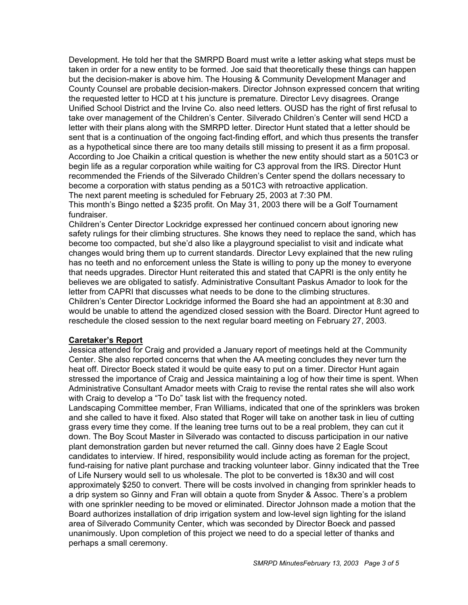Development. He told her that the SMRPD Board must write a letter asking what steps must be taken in order for a new entity to be formed. Joe said that theoretically these things can happen but the decision-maker is above him. The Housing & Community Development Manager and County Counsel are probable decision-makers. Director Johnson expressed concern that writing the requested letter to HCD at t his juncture is premature. Director Levy disagrees. Orange Unified School District and the Irvine Co. also need letters. OUSD has the right of first refusal to take over management of the Children's Center. Silverado Children's Center will send HCD a letter with their plans along with the SMRPD letter. Director Hunt stated that a letter should be sent that is a continuation of the ongoing fact-finding effort, and which thus presents the transfer as a hypothetical since there are too many details still missing to present it as a firm proposal. According to Joe Chaikin a critical question is whether the new entity should start as a 501C3 or begin life as a regular corporation while waiting for C3 approval from the IRS. Director Hunt recommended the Friends of the Silverado Children's Center spend the dollars necessary to become a corporation with status pending as a 501C3 with retroactive application. The next parent meeting is scheduled for February 25, 2003 at 7:30 PM.

This month's Bingo netted a \$235 profit. On May 31, 2003 there will be a Golf Tournament fundraiser.

Children's Center Director Lockridge expressed her continued concern about ignoring new safety rulings for their climbing structures. She knows they need to replace the sand, which has become too compacted, but she'd also like a playground specialist to visit and indicate what changes would bring them up to current standards. Director Levy explained that the new ruling has no teeth and no enforcement unless the State is willing to pony up the money to everyone that needs upgrades. Director Hunt reiterated this and stated that CAPRI is the only entity he believes we are obligated to satisfy. Administrative Consultant Paskus Amador to look for the letter from CAPRI that discusses what needs to be done to the climbing structures. Children's Center Director Lockridge informed the Board she had an appointment at 8:30 and

would be unable to attend the agendized closed session with the Board. Director Hunt agreed to reschedule the closed session to the next regular board meeting on February 27, 2003.

#### **Caretaker's Report**

Jessica attended for Craig and provided a January report of meetings held at the Community Center. She also reported concerns that when the AA meeting concludes they never turn the heat off. Director Boeck stated it would be quite easy to put on a timer. Director Hunt again stressed the importance of Craig and Jessica maintaining a log of how their time is spent. When Administrative Consultant Amador meets with Craig to revise the rental rates she will also work with Craig to develop a "To Do" task list with the frequency noted.

Landscaping Committee member, Fran Williams, indicated that one of the sprinklers was broken and she called to have it fixed. Also stated that Roger will take on another task in lieu of cutting grass every time they come. If the leaning tree turns out to be a real problem, they can cut it down. The Boy Scout Master in Silverado was contacted to discuss participation in our native plant demonstration garden but never returned the call. Ginny does have 2 Eagle Scout candidates to interview. If hired, responsibility would include acting as foreman for the project, fund-raising for native plant purchase and tracking volunteer labor. Ginny indicated that the Tree of Life Nursery would sell to us wholesale. The plot to be converted is 18x30 and will cost approximately \$250 to convert. There will be costs involved in changing from sprinkler heads to a drip system so Ginny and Fran will obtain a quote from Snyder & Assoc. There's a problem with one sprinkler needing to be moved or eliminated. Director Johnson made a motion that the Board authorizes installation of drip irrigation system and low-level sign lighting for the island area of Silverado Community Center, which was seconded by Director Boeck and passed unanimously. Upon completion of this project we need to do a special letter of thanks and perhaps a small ceremony.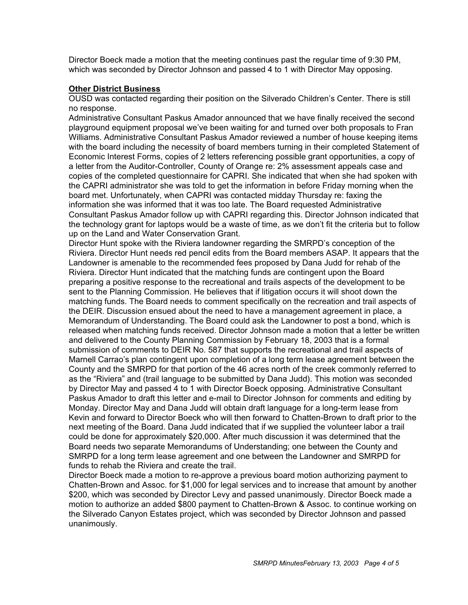Director Boeck made a motion that the meeting continues past the regular time of 9:30 PM, which was seconded by Director Johnson and passed 4 to 1 with Director May opposing.

#### **Other District Business**

OUSD was contacted regarding their position on the Silverado Children's Center. There is still no response.

Administrative Consultant Paskus Amador announced that we have finally received the second playground equipment proposal we've been waiting for and turned over both proposals to Fran Williams. Administrative Consultant Paskus Amador reviewed a number of house keeping items with the board including the necessity of board members turning in their completed Statement of Economic Interest Forms, copies of 2 letters referencing possible grant opportunities, a copy of a letter from the Auditor-Controller, County of Orange re: 2% assessment appeals case and copies of the completed questionnaire for CAPRI. She indicated that when she had spoken with the CAPRI administrator she was told to get the information in before Friday morning when the board met. Unfortunately, when CAPRI was contacted midday Thursday re: faxing the information she was informed that it was too late. The Board requested Administrative Consultant Paskus Amador follow up with CAPRI regarding this. Director Johnson indicated that the technology grant for laptops would be a waste of time, as we don't fit the criteria but to follow up on the Land and Water Conservation Grant.

Director Hunt spoke with the Riviera landowner regarding the SMRPD's conception of the Riviera. Director Hunt needs red pencil edits from the Board members ASAP. It appears that the Landowner is amenable to the recommended fees proposed by Dana Judd for rehab of the Riviera. Director Hunt indicated that the matching funds are contingent upon the Board preparing a positive response to the recreational and trails aspects of the development to be sent to the Planning Commission. He believes that if litigation occurs it will shoot down the matching funds. The Board needs to comment specifically on the recreation and trail aspects of the DEIR. Discussion ensued about the need to have a management agreement in place, a Memorandum of Understanding. The Board could ask the Landowner to post a bond, which is released when matching funds received. Director Johnson made a motion that a letter be written and delivered to the County Planning Commission by February 18, 2003 that is a formal submission of comments to DEIR No. 587 that supports the recreational and trail aspects of Marnell Carrao's plan contingent upon completion of a long term lease agreement between the County and the SMRPD for that portion of the 46 acres north of the creek commonly referred to as the "Riviera" and (trail language to be submitted by Dana Judd). This motion was seconded by Director May and passed 4 to 1 with Director Boeck opposing. Administrative Consultant Paskus Amador to draft this letter and e-mail to Director Johnson for comments and editing by Monday. Director May and Dana Judd will obtain draft language for a long-term lease from Kevin and forward to Director Boeck who will then forward to Chatten-Brown to draft prior to the next meeting of the Board. Dana Judd indicated that if we supplied the volunteer labor a trail could be done for approximately \$20,000. After much discussion it was determined that the Board needs two separate Memorandums of Understanding; one between the County and SMRPD for a long term lease agreement and one between the Landowner and SMRPD for funds to rehab the Riviera and create the trail.

Director Boeck made a motion to re-approve a previous board motion authorizing payment to Chatten-Brown and Assoc. for \$1,000 for legal services and to increase that amount by another \$200, which was seconded by Director Levy and passed unanimously. Director Boeck made a motion to authorize an added \$800 payment to Chatten-Brown & Assoc. to continue working on the Silverado Canyon Estates project, which was seconded by Director Johnson and passed unanimously.